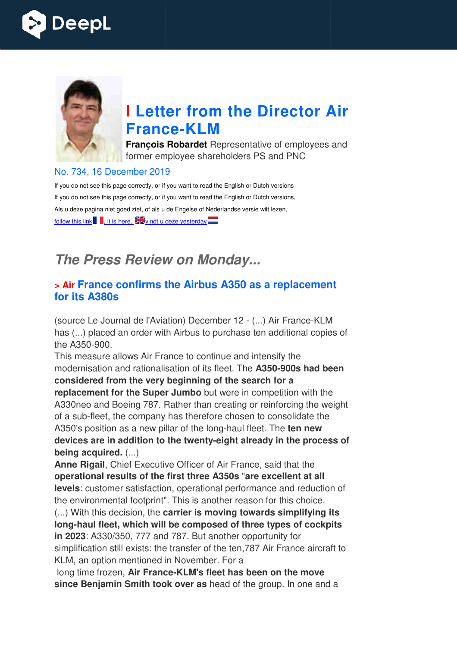



# **I Letter from the Director Air France France-KLM**

**François Robardet** Representative of employees and former employee shareholders PS and PNC

#### No. 734, 16 December 2019

If you do not see this page correctly, or if you want to read the English or Dutch versions If you do not see this page correctly, or if you want to read the English or Dutch versions, Als u deze pagina niet goed ziet, of als u de Engelse of Nederlandse versie wilt lezen, follow this link  $\blacksquare$ , it is here,  $\blacksquare$  it is here,  $\blacksquare$ 

## *The Press Review on Monday...*

#### **> Air France confirms the Airbus A350 as a replacement for its A380s**

(source Le Journal de l'Aviation) December 12 - (...) Air France-KLM has (...) placed an order with Airbus to purchase ten additional copies of the A350-900.

This measure allows Air France to continue and intensify the modernisation and rationalisation of its fleet. The  **A350-900s had been considered from the very beginning of the search for a**  replacement for the Super Jumbo but were in competition with the A330neo and Boeing 787. Rather than creating or reinforcing the weight of a sub-fleet, the company has therefore chosen to consolidate the<br>A350's position as a new pillar of the long-haul fleet. The **ten new** A350's position as a new pillar of the long-haul fleet. The ten new devices are in addition to the twenty-eight already in the process of **being acquired.** (...) **Parago Higest. The A350-900s**<br>**901 the search for a**<br>**Example in competition v**<br>**Creating or reinforcing**<br>**Parago Higest Consplice:**<br>**Parago Higest Algest Are Search Are Algest Algest Algest Aready in the** 

Anne Rigail, Chief Executive Officer of Air France, said that the **operational results of the first three A350s**  "**are excellent at all levels**: customer satisfaction, operational performance and reduction of the environmental footprint". This is another reason for this choice.

(...) With this decision, the **carrier is moving towards simplifying its long-haul fleet, which will be composed of three types of cockpits in 2023**: A330/350, 777 and 787. But another opportunity for simplification still exists: the transfer of the ten,787 Air France aircraf KLM, an option mentioned in November. For a haul fleet, which will be composed of three types of cock<br>23: A330/350, 777 and 787. But another opportunity for<br>ification still exists: the transfer of the ten, 787 Air France aircra<br>an option mentioned in November. For a aircraft to

long time frozen, Air France-KLM's fleet has been on the move **since Benjamin Smith took over as** head of the group. In one and a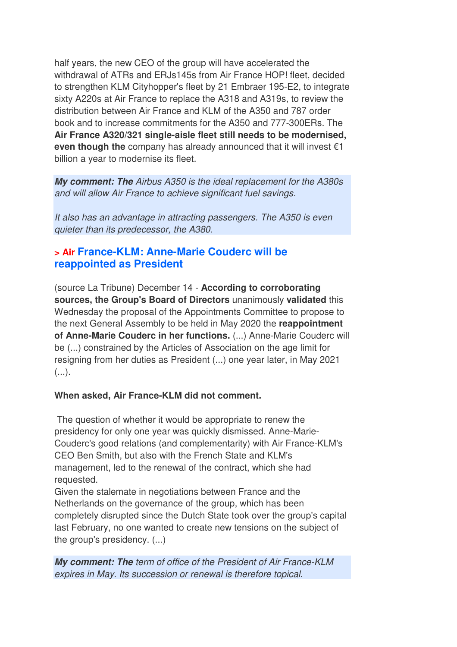half years, the new CEO of the group will have accelerated the withdrawal of ATRs and ERJs145s from Air France HOP! fleet, decided to strengthen KLM Cityhopper's fleet by 21 Embraer 195-E2, to integrate sixty A220s at Air France to replace the A318 and A319s, to review the distribution between Air France and KLM of the A350 and 787 order book and to increase commitments for the A350 and 777-300ERs. The **Air France A320/321 single-aisle fleet still needs to be modernised, even though the** company has already announced that it will invest €1 billion a year to modernise its fleet.

*My comment: The Airbus A350 is the ideal replacement for the A380s and will allow Air France to achieve significant fuel savings.* 

*It also has an advantage in attracting passengers. The A350 is even quieter than its predecessor, the A380.*

## **> Air France-KLM: Anne-Marie Couderc will be reappointed as President**

(source La Tribune) December 14 - **According to corroborating sources, the Group's Board of Directors** unanimously **validated** this Wednesday the proposal of the Appointments Committee to propose to the next General Assembly to be held in May 2020 the **reappointment of Anne-Marie Couderc in her functions.** (...) Anne-Marie Couderc will be (...) constrained by the Articles of Association on the age limit for resigning from her duties as President (...) one year later, in May 2021  $(\ldots).$ 

#### **When asked, Air France-KLM did not comment.**

 The question of whether it would be appropriate to renew the presidency for only one year was quickly dismissed. Anne-Marie-Couderc's good relations (and complementarity) with Air France-KLM's CEO Ben Smith, but also with the French State and KLM's management, led to the renewal of the contract, which she had requested.

Given the stalemate in negotiations between France and the Netherlands on the governance of the group, which has been completely disrupted since the Dutch State took over the group's capital last February, no one wanted to create new tensions on the subject of the group's presidency. (...)

*My comment: The term of office of the President of Air France-KLM expires in May. Its succession or renewal is therefore topical.*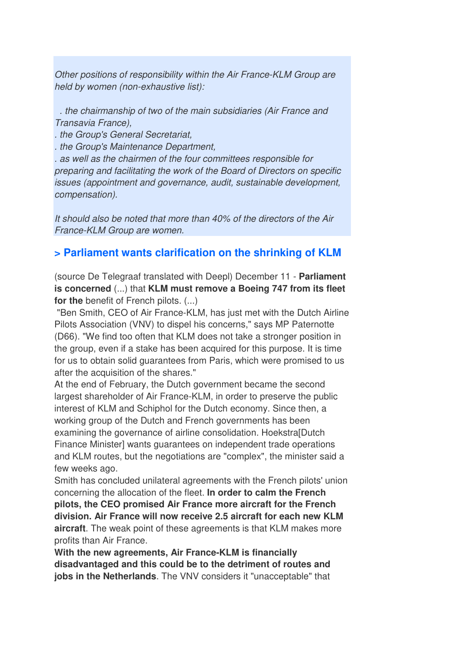*Other positions of responsibility within the Air France-KLM Group are held by women (non-exhaustive list):* 

 *. the chairmanship of two of the main subsidiaries (Air France and Transavia France),* 

*. the Group's General Secretariat,* 

*. the Group's Maintenance Department,* 

*. as well as the chairmen of the four committees responsible for preparing and facilitating the work of the Board of Directors on specific issues (appointment and governance, audit, sustainable development, compensation).* 

*It should also be noted that more than 40% of the directors of the Air France-KLM Group are women.*

#### **> Parliament wants clarification on the shrinking of KLM**

(source De Telegraaf translated with Deepl) December 11 - **Parliament is concerned** (...) that **KLM must remove a Boeing 747 from its fleet for the** benefit of French pilots. (...)

 "Ben Smith, CEO of Air France-KLM, has just met with the Dutch Airline Pilots Association (VNV) to dispel his concerns," says MP Paternotte (D66). "We find too often that KLM does not take a stronger position in the group, even if a stake has been acquired for this purpose. It is time for us to obtain solid guarantees from Paris, which were promised to us after the acquisition of the shares."

At the end of February, the Dutch government became the second largest shareholder of Air France-KLM, in order to preserve the public interest of KLM and Schiphol for the Dutch economy. Since then, a working group of the Dutch and French governments has been examining the governance of airline consolidation. Hoekstra[Dutch Finance Minister] wants guarantees on independent trade operations and KLM routes, but the negotiations are "complex", the minister said a few weeks ago.

Smith has concluded unilateral agreements with the French pilots' union concerning the allocation of the fleet. **In order to calm the French pilots, the CEO promised Air France more aircraft for the French division. Air France will now receive 2.5 aircraft for each new KLM aircraft**. The weak point of these agreements is that KLM makes more profits than Air France.

**With the new agreements, Air France-KLM is financially disadvantaged and this could be to the detriment of routes and jobs in the Netherlands**. The VNV considers it "unacceptable" that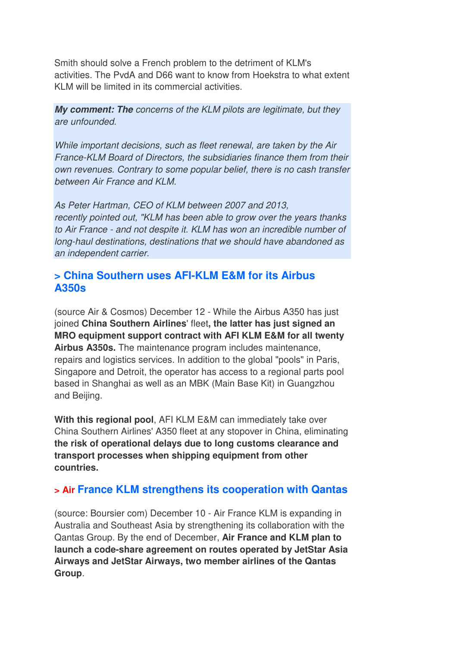Smith should solve a French problem to the detriment of KLM's activities. The PvdA and D66 want to know from Hoekstra to what extent KLM will be limited in its commercial activities.

*My comment: The concerns of the KLM pilots are legitimate, but they are unfounded.* 

*While important decisions, such as fleet renewal, are taken by the Air France-KLM Board of Directors, the subsidiaries finance them from their own revenues. Contrary to some popular belief, there is no cash transfer between Air France and KLM.* 

*As Peter Hartman, CEO of KLM between 2007 and 2013, recently pointed out, "KLM has been able to grow over the years thanks to Air France - and not despite it. KLM has won an incredible number of long-haul destinations, destinations that we should have abandoned as an independent carrier.* 

### **> China Southern uses AFI-KLM E&M for its Airbus A350s**

(source Air & Cosmos) December 12 - While the Airbus A350 has just joined **China Southern Airlines**' fleet**, the latter has just signed an MRO equipment support contract with AFI KLM E&M for all twenty Airbus A350s.** The maintenance program includes maintenance, repairs and logistics services. In addition to the global "pools" in Paris, Singapore and Detroit, the operator has access to a regional parts pool based in Shanghai as well as an MBK (Main Base Kit) in Guangzhou and Beijing.

**With this regional pool**, AFI KLM E&M can immediately take over China Southern Airlines' A350 fleet at any stopover in China, eliminating **the risk of operational delays due to long customs clearance and transport processes when shipping equipment from other countries.**

## **> Air France KLM strengthens its cooperation with Qantas**

(source: Boursier com) December 10 - Air France KLM is expanding in Australia and Southeast Asia by strengthening its collaboration with the Qantas Group. By the end of December, **Air France and KLM plan to launch a code-share agreement on routes operated by JetStar Asia Airways and JetStar Airways, two member airlines of the Qantas Group**.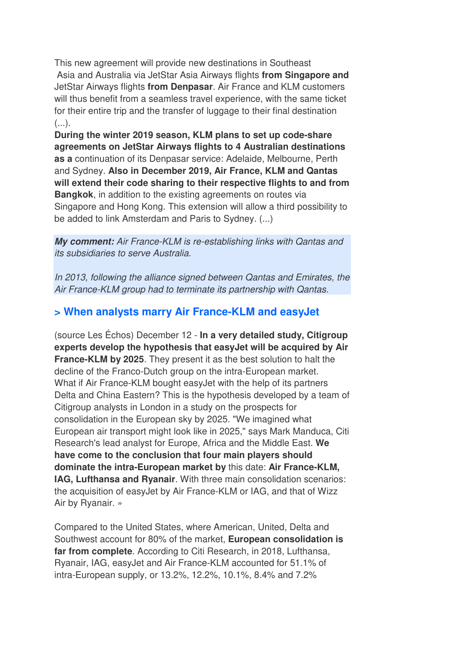This new agreement will provide new destinations in Southeast Asia and Australia via JetStar Asia Airways flights **from Singapore and** JetStar Airways flights **from Denpasar**. Air France and KLM customers will thus benefit from a seamless travel experience, with the same ticket for their entire trip and the transfer of luggage to their final destination  $(\ldots)$ .

**During the winter 2019 season, KLM plans to set up code-share agreements on JetStar Airways flights to 4 Australian destinations as a** continuation of its Denpasar service: Adelaide, Melbourne, Perth and Sydney. **Also in December 2019, Air France, KLM and Qantas will extend their code sharing to their respective flights to and from Bangkok**, in addition to the existing agreements on routes via Singapore and Hong Kong. This extension will allow a third possibility to be added to link Amsterdam and Paris to Sydney. (...)

*My comment: Air France-KLM is re-establishing links with Qantas and its subsidiaries to serve Australia.* 

*In 2013, following the alliance signed between Qantas and Emirates, the Air France-KLM group had to terminate its partnership with Qantas.*

## **> When analysts marry Air France-KLM and easyJet**

(source Les Échos) December 12 - **In a very detailed study, Citigroup experts develop the hypothesis that easyJet will be acquired by Air France-KLM by 2025**. They present it as the best solution to halt the decline of the Franco-Dutch group on the intra-European market. What if Air France-KLM bought easyJet with the help of its partners Delta and China Eastern? This is the hypothesis developed by a team of Citigroup analysts in London in a study on the prospects for consolidation in the European sky by 2025. "We imagined what European air transport might look like in 2025," says Mark Manduca, Citi Research's lead analyst for Europe, Africa and the Middle East. **We have come to the conclusion that four main players should dominate the intra-European market by** this date: **Air France-KLM, IAG, Lufthansa and Ryanair**. With three main consolidation scenarios: the acquisition of easyJet by Air France-KLM or IAG, and that of Wizz Air by Ryanair. »

Compared to the United States, where American, United, Delta and Southwest account for 80% of the market, **European consolidation is far from complete**. According to Citi Research, in 2018, Lufthansa, Ryanair, IAG, easyJet and Air France-KLM accounted for 51.1% of intra-European supply, or 13.2%, 12.2%, 10.1%, 8.4% and 7.2%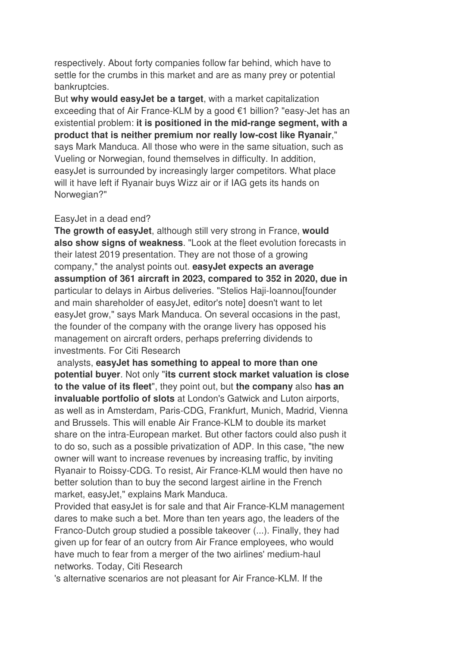respectively. About forty companies follow far behind, which have to settle for the crumbs in this market and are as many prey or potential bankruptcies.

But **why would easyJet be a target**, with a market capitalization exceeding that of Air France-KLM by a good €1 billion? "easy-Jet has an existential problem: **it is positioned in the mid-range segment, with a product that is neither premium nor really low-cost like Ryanair**," says Mark Manduca. All those who were in the same situation, such as Vueling or Norwegian, found themselves in difficulty. In addition, easyJet is surrounded by increasingly larger competitors. What place will it have left if Ryanair buys Wizz air or if IAG gets its hands on Norwegian?"

#### EasyJet in a dead end?

**The growth of easyJet**, although still very strong in France, **would also show signs of weakness**. "Look at the fleet evolution forecasts in their latest 2019 presentation. They are not those of a growing company," the analyst points out. **easyJet expects an average assumption of 361 aircraft in 2023, compared to 352 in 2020, due in** particular to delays in Airbus deliveries. "Stelios Haji-Ioannou[founder and main shareholder of easyJet, editor's note] doesn't want to let easyJet grow," says Mark Manduca. On several occasions in the past, the founder of the company with the orange livery has opposed his management on aircraft orders, perhaps preferring dividends to investments. For Citi Research

 analysts, **easyJet has something to appeal to more than one potential buyer**. Not only "**its current stock market valuation is close to the value of its fleet**", they point out, but **the company** also **has an invaluable portfolio of slots** at London's Gatwick and Luton airports, as well as in Amsterdam, Paris-CDG, Frankfurt, Munich, Madrid, Vienna and Brussels. This will enable Air France-KLM to double its market share on the intra-European market. But other factors could also push it to do so, such as a possible privatization of ADP. In this case, "the new owner will want to increase revenues by increasing traffic, by inviting Ryanair to Roissy-CDG. To resist, Air France-KLM would then have no better solution than to buy the second largest airline in the French market, easyJet," explains Mark Manduca.

Provided that easyJet is for sale and that Air France-KLM management dares to make such a bet. More than ten years ago, the leaders of the Franco-Dutch group studied a possible takeover (...). Finally, they had given up for fear of an outcry from Air France employees, who would have much to fear from a merger of the two airlines' medium-haul networks. Today, Citi Research

's alternative scenarios are not pleasant for Air France-KLM. If the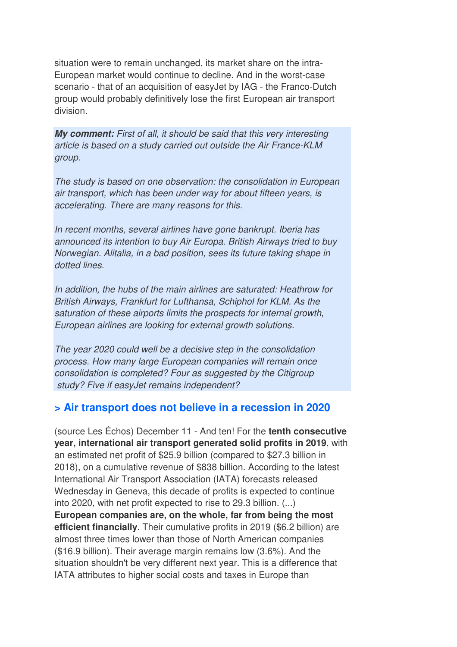situation were to remain unchanged, its market share on the intra-European market would continue to decline. And in the worst-case scenario - that of an acquisition of easyJet by IAG - the Franco-Dutch group would probably definitively lose the first European air transport division.

*My comment: First of all, it should be said that this very interesting article is based on a study carried out outside the Air France-KLM group.* 

*The study is based on one observation: the consolidation in European air transport, which has been under way for about fifteen years, is accelerating. There are many reasons for this.* 

*In recent months, several airlines have gone bankrupt. Iberia has announced its intention to buy Air Europa. British Airways tried to buy Norwegian. Alitalia, in a bad position, sees its future taking shape in dotted lines.* 

*In addition, the hubs of the main airlines are saturated: Heathrow for British Airways, Frankfurt for Lufthansa, Schiphol for KLM. As the saturation of these airports limits the prospects for internal growth, European airlines are looking for external growth solutions.* 

*The year 2020 could well be a decisive step in the consolidation process. How many large European companies will remain once consolidation is completed? Four as suggested by the Citigroup study? Five if easyJet remains independent?*

## **> Air transport does not believe in a recession in 2020**

(source Les Échos) December 11 - And ten! For the **tenth consecutive year, international air transport generated solid profits in 2019**, with an estimated net profit of \$25.9 billion (compared to \$27.3 billion in 2018), on a cumulative revenue of \$838 billion. According to the latest International Air Transport Association (IATA) forecasts released Wednesday in Geneva, this decade of profits is expected to continue into 2020, with net profit expected to rise to 29.3 billion. (...) **European companies are, on the whole, far from being the most efficient financially**. Their cumulative profits in 2019 (\$6.2 billion) are almost three times lower than those of North American companies (\$16.9 billion). Their average margin remains low (3.6%). And the situation shouldn't be very different next year. This is a difference that IATA attributes to higher social costs and taxes in Europe than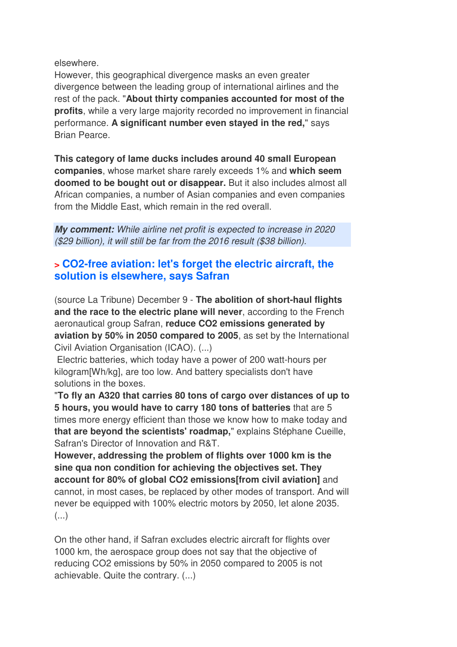elsewhere.

However, this geographical divergence masks an even greater divergence between the leading group of international airlines and the rest of the pack. "**About thirty companies accounted for most of the profits**, while a very large majority recorded no improvement in financial performance. **A significant number even stayed in the red,**" says Brian Pearce.

**This category of lame ducks includes around 40 small European companies**, whose market share rarely exceeds 1% and **which seem doomed to be bought out or disappear.** But it also includes almost all African companies, a number of Asian companies and even companies from the Middle East, which remain in the red overall.

*My comment: While airline net profit is expected to increase in 2020 (\$29 billion), it will still be far from the 2016 result (\$38 billion).*

## **> CO2-free aviation: let's forget the electric aircraft, the solution is elsewhere, says Safran**

(source La Tribune) December 9 - **The abolition of short-haul flights and the race to the electric plane will never**, according to the French aeronautical group Safran, **reduce CO2 emissions generated by aviation by 50% in 2050 compared to 2005**, as set by the International Civil Aviation Organisation (ICAO). (...)

 Electric batteries, which today have a power of 200 watt-hours per kilogram[Wh/kg], are too low. And battery specialists don't have solutions in the boxes.

"**To fly an A320 that carries 80 tons of cargo over distances of up to 5 hours, you would have to carry 180 tons of batteries** that are 5 times more energy efficient than those we know how to make today and **that are beyond the scientists' roadmap,**" explains Stéphane Cueille, Safran's Director of Innovation and R&T.

**However, addressing the problem of flights over 1000 km is the sine qua non condition for achieving the objectives set. They account for 80% of global CO2 emissions[from civil aviation]** and cannot, in most cases, be replaced by other modes of transport. And will never be equipped with 100% electric motors by 2050, let alone 2035. (...)

On the other hand, if Safran excludes electric aircraft for flights over 1000 km, the aerospace group does not say that the objective of reducing CO2 emissions by 50% in 2050 compared to 2005 is not achievable. Quite the contrary. (...)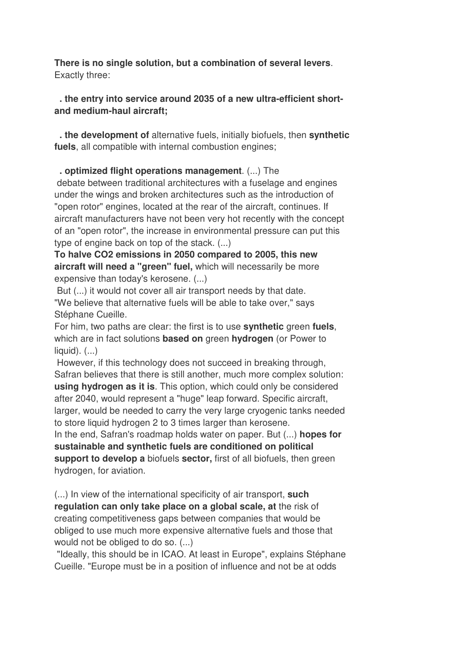**There is no single solution, but a combination of several levers**. Exactly three:

#### **. the entry into service around 2035 of a new ultra-efficient shortand medium-haul aircraft;**

 **. the development of** alternative fuels, initially biofuels, then **synthetic fuels**, all compatible with internal combustion engines;

 **. optimized flight operations management**. (...) The debate between traditional architectures with a fuselage and engines under the wings and broken architectures such as the introduction of "open rotor" engines, located at the rear of the aircraft, continues. If aircraft manufacturers have not been very hot recently with the concept of an "open rotor", the increase in environmental pressure can put this type of engine back on top of the stack. (...)

**To halve CO2 emissions in 2050 compared to 2005, this new aircraft will need a "green" fuel,** which will necessarily be more expensive than today's kerosene. (...)

 But (...) it would not cover all air transport needs by that date. "We believe that alternative fuels will be able to take over," says Stéphane Cueille.

For him, two paths are clear: the first is to use **synthetic** green **fuels**, which are in fact solutions **based on** green **hydrogen** (or Power to  $liquid)$ .  $(...)$ 

 However, if this technology does not succeed in breaking through, Safran believes that there is still another, much more complex solution: **using hydrogen as it is**. This option, which could only be considered after 2040, would represent a "huge" leap forward. Specific aircraft, larger, would be needed to carry the very large cryogenic tanks needed to store liquid hydrogen 2 to 3 times larger than kerosene.

In the end, Safran's roadmap holds water on paper. But (...) **hopes for sustainable and synthetic fuels are conditioned on political support to develop a** biofuels **sector,** first of all biofuels, then green hydrogen, for aviation.

(...) In view of the international specificity of air transport, **such regulation can only take place on a global scale, at** the risk of creating competitiveness gaps between companies that would be obliged to use much more expensive alternative fuels and those that would not be obliged to do so. (...)

 "Ideally, this should be in ICAO. At least in Europe", explains Stéphane Cueille. "Europe must be in a position of influence and not be at odds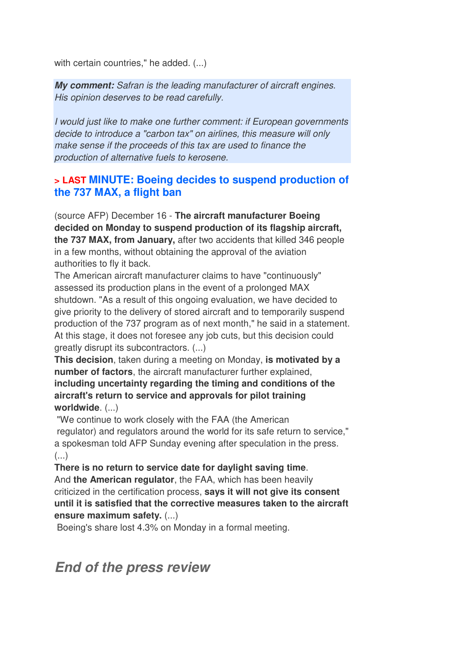with certain countries," he added. (...)

*My comment: Safran is the leading manufacturer of aircraft engines. His opinion deserves to be read carefully.* 

*I would just like to make one further comment: if European governments decide to introduce a "carbon tax" on airlines, this measure will only make sense if the proceeds of this tax are used to finance the production of alternative fuels to kerosene.*

#### **> LAST MINUTE: Boeing decides to suspend production of the 737 MAX, a flight ban**

(source AFP) December 16 - **The aircraft manufacturer Boeing decided on Monday to suspend production of its flagship aircraft, the 737 MAX, from January,** after two accidents that killed 346 people in a few months, without obtaining the approval of the aviation authorities to fly it back.

The American aircraft manufacturer claims to have "continuously" assessed its production plans in the event of a prolonged MAX shutdown. "As a result of this ongoing evaluation, we have decided to give priority to the delivery of stored aircraft and to temporarily suspend production of the 737 program as of next month," he said in a statement. At this stage, it does not foresee any job cuts, but this decision could greatly disrupt its subcontractors. (...)

**This decision**, taken during a meeting on Monday, **is motivated by a number of factors**, the aircraft manufacturer further explained, **including uncertainty regarding the timing and conditions of the aircraft's return to service and approvals for pilot training worldwide**. (...)

 "We continue to work closely with the FAA (the American regulator) and regulators around the world for its safe return to service," a spokesman told AFP Sunday evening after speculation in the press. (...)

**There is no return to service date for daylight saving time**. And **the American regulator**, the FAA, which has been heavily criticized in the certification process, **says it will not give its consent until it is satisfied that the corrective measures taken to the aircraft ensure maximum safety.** (...)

Boeing's share lost 4.3% on Monday in a formal meeting.

*End of the press review*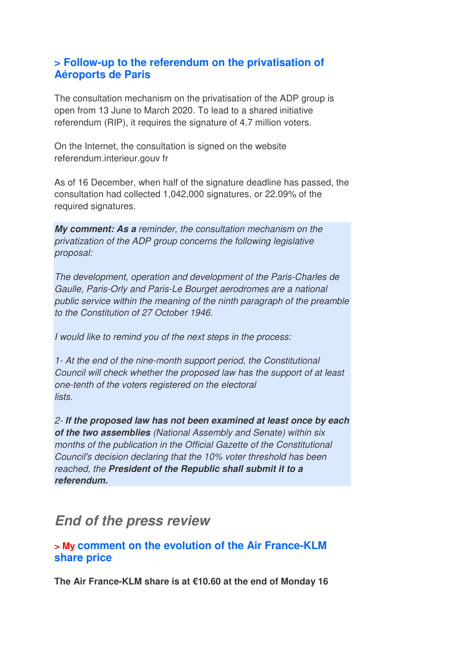#### **> Follow-up to the referendum on the privatisation of Aéroports de Paris**

The consultation mechanism on the privatisation of the ADP group is open from 13 June to March 2020. To lead to a shared initiative referendum (RIP), it requires the signature of 4.7 million voters.

On the Internet, the consultation is signed on the website referendum.interieur.gouv fr

As of 16 December, when half of the signature deadline has passed, the consultation had collected 1,042,000 signatures, or 22.09% of the required signatures.

*My comment: As a reminder, the consultation mechanism on the privatization of the ADP group concerns the following legislative proposal:* 

*The development, operation and development of the Paris-Charles de Gaulle, Paris-Orly and Paris-Le Bourget aerodromes are a national public service within the meaning of the ninth paragraph of the preamble to the Constitution of 27 October 1946.* 

*I would like to remind you of the next steps in the process:* 

*1- At the end of the nine-month support period, the Constitutional Council will check whether the proposed law has the support of at least one-tenth of the voters registered on the electoral lists.* 

*2- If the proposed law has not been examined at least once by each of the two assemblies (National Assembly and Senate) within six months of the publication in the Official Gazette of the Constitutional Council's decision declaring that the 10% voter threshold has been reached, the President of the Republic shall submit it to a referendum.* 

## *End of the press review*

### **> My comment on the evolution of the Air France-KLM share price**

**The Air France-KLM share is at €10.60 at the end of Monday 16**